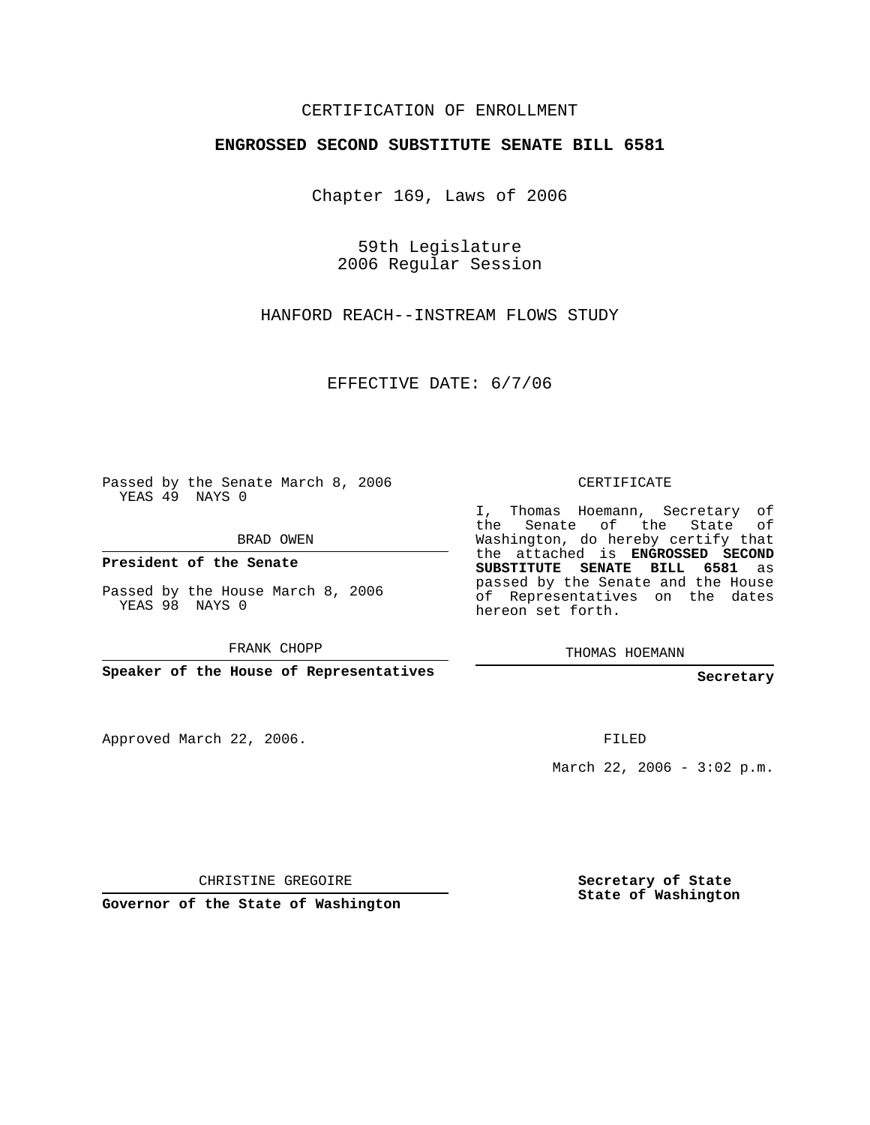## CERTIFICATION OF ENROLLMENT

#### **ENGROSSED SECOND SUBSTITUTE SENATE BILL 6581**

Chapter 169, Laws of 2006

59th Legislature 2006 Regular Session

HANFORD REACH--INSTREAM FLOWS STUDY

EFFECTIVE DATE: 6/7/06

Passed by the Senate March 8, 2006 YEAS 49 NAYS 0

BRAD OWEN

**President of the Senate**

Passed by the House March 8, 2006 YEAS 98 NAYS 0

FRANK CHOPP

**Speaker of the House of Representatives**

Approved March 22, 2006.

CERTIFICATE

I, Thomas Hoemann, Secretary of the Senate of the State of Washington, do hereby certify that the attached is **ENGROSSED SECOND SUBSTITUTE SENATE BILL 6581** as passed by the Senate and the House of Representatives on the dates hereon set forth.

THOMAS HOEMANN

**Secretary**

FILED

March 22, 2006 -  $3:02$  p.m.

CHRISTINE GREGOIRE

**Governor of the State of Washington**

**Secretary of State State of Washington**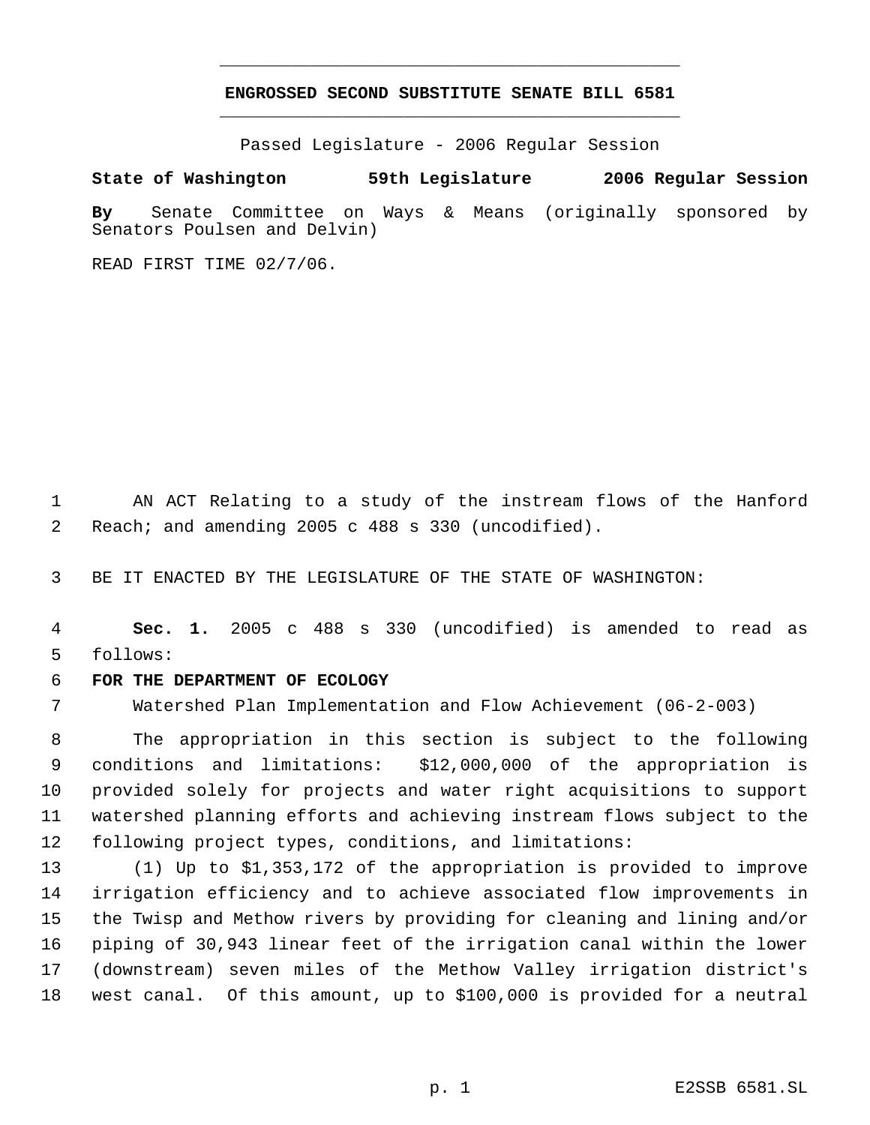# **ENGROSSED SECOND SUBSTITUTE SENATE BILL 6581** \_\_\_\_\_\_\_\_\_\_\_\_\_\_\_\_\_\_\_\_\_\_\_\_\_\_\_\_\_\_\_\_\_\_\_\_\_\_\_\_\_\_\_\_\_

\_\_\_\_\_\_\_\_\_\_\_\_\_\_\_\_\_\_\_\_\_\_\_\_\_\_\_\_\_\_\_\_\_\_\_\_\_\_\_\_\_\_\_\_\_

Passed Legislature - 2006 Regular Session

### **State of Washington 59th Legislature 2006 Regular Session**

**By** Senate Committee on Ways & Means (originally sponsored by Senators Poulsen and Delvin)

READ FIRST TIME 02/7/06.

 AN ACT Relating to a study of the instream flows of the Hanford Reach; and amending 2005 c 488 s 330 (uncodified).

BE IT ENACTED BY THE LEGISLATURE OF THE STATE OF WASHINGTON:

 **Sec. 1.** 2005 c 488 s 330 (uncodified) is amended to read as follows:

### **FOR THE DEPARTMENT OF ECOLOGY**

Watershed Plan Implementation and Flow Achievement (06-2-003)

 The appropriation in this section is subject to the following conditions and limitations: \$12,000,000 of the appropriation is provided solely for projects and water right acquisitions to support watershed planning efforts and achieving instream flows subject to the following project types, conditions, and limitations:

 (1) Up to \$1,353,172 of the appropriation is provided to improve irrigation efficiency and to achieve associated flow improvements in the Twisp and Methow rivers by providing for cleaning and lining and/or piping of 30,943 linear feet of the irrigation canal within the lower (downstream) seven miles of the Methow Valley irrigation district's west canal. Of this amount, up to \$100,000 is provided for a neutral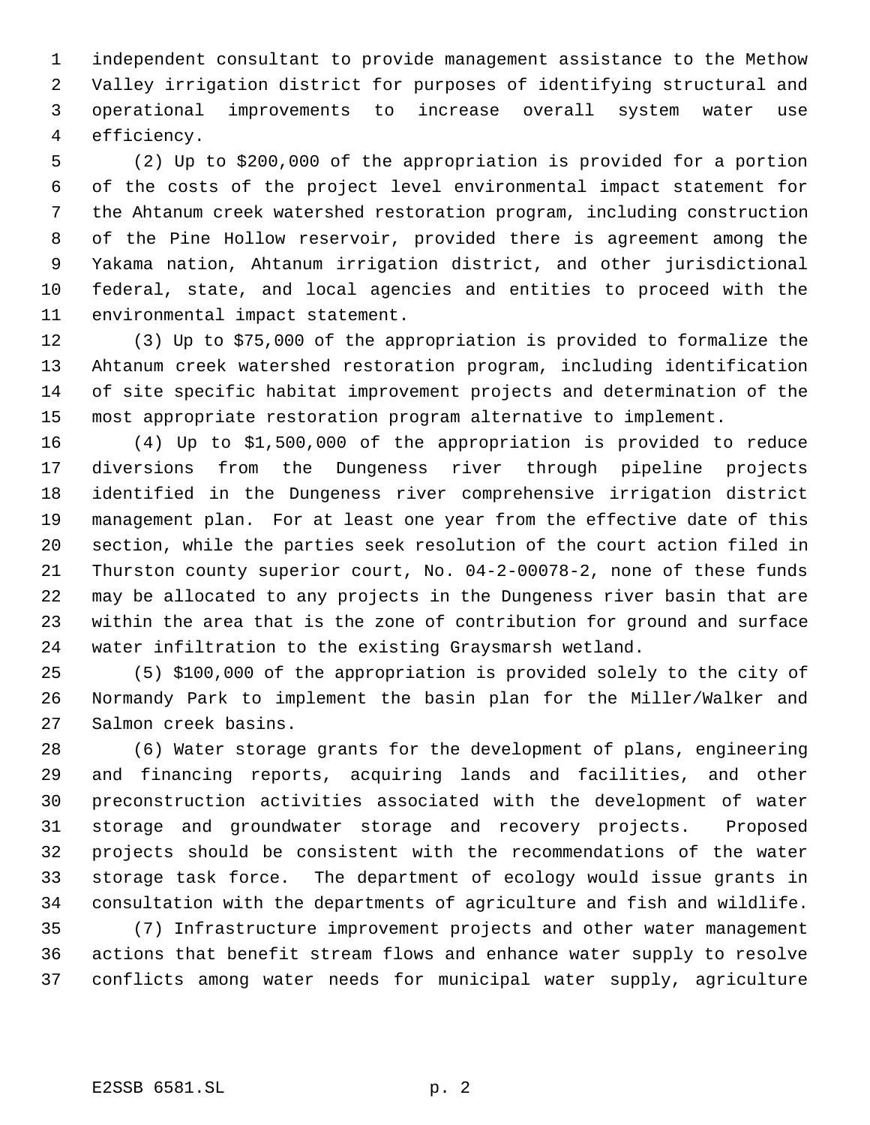independent consultant to provide management assistance to the Methow Valley irrigation district for purposes of identifying structural and operational improvements to increase overall system water use efficiency.

 (2) Up to \$200,000 of the appropriation is provided for a portion of the costs of the project level environmental impact statement for the Ahtanum creek watershed restoration program, including construction of the Pine Hollow reservoir, provided there is agreement among the Yakama nation, Ahtanum irrigation district, and other jurisdictional federal, state, and local agencies and entities to proceed with the environmental impact statement.

 (3) Up to \$75,000 of the appropriation is provided to formalize the Ahtanum creek watershed restoration program, including identification of site specific habitat improvement projects and determination of the most appropriate restoration program alternative to implement.

 (4) Up to \$1,500,000 of the appropriation is provided to reduce diversions from the Dungeness river through pipeline projects identified in the Dungeness river comprehensive irrigation district management plan. For at least one year from the effective date of this section, while the parties seek resolution of the court action filed in Thurston county superior court, No. 04-2-00078-2, none of these funds may be allocated to any projects in the Dungeness river basin that are within the area that is the zone of contribution for ground and surface water infiltration to the existing Graysmarsh wetland.

 (5) \$100,000 of the appropriation is provided solely to the city of Normandy Park to implement the basin plan for the Miller/Walker and Salmon creek basins.

 (6) Water storage grants for the development of plans, engineering and financing reports, acquiring lands and facilities, and other preconstruction activities associated with the development of water storage and groundwater storage and recovery projects. Proposed projects should be consistent with the recommendations of the water storage task force. The department of ecology would issue grants in consultation with the departments of agriculture and fish and wildlife.

 (7) Infrastructure improvement projects and other water management actions that benefit stream flows and enhance water supply to resolve conflicts among water needs for municipal water supply, agriculture